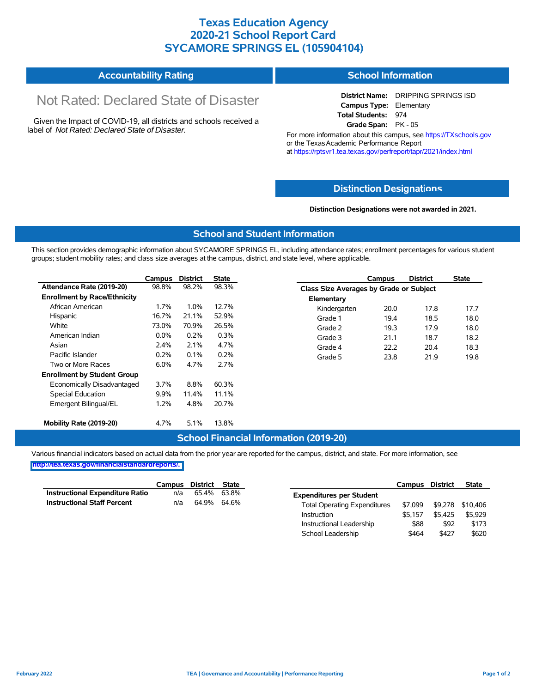## **Texas Education Agency 2020-21 School Report Card SYCAMORE SPRINGS EL (105904104)**

| <b>Accountability Rating</b> | <b>School Information</b> |
|------------------------------|---------------------------|
|------------------------------|---------------------------|

# Not Rated: Declared State of Disaster

Given the Impact of COVID-19, all districts and schools received a label of *Not Rated: Declared State of Disaster.*

**District Name:** DRIPPING SPRINGS ISD **Campus Type:** Elementary **Total Students:** 974 **Grade Span:** PK - 05

For more information about this campus, see https://TXschools.gov or the Texas Academic Performance Report at https://rptsvr1.tea.texas.gov/perfreport/tapr/2021/index.html

#### **Distinction Designat[ions](https://TXschools.gov)**

**Distinction Designations were not awarded in 2021.**

School Leadership  $$464$  \$427 \$620

#### **School and Student Information**

This section provides demographic information about SYCAMORE SPRINGS EL, including attendance rates; enrollment percentages for various student groups; student mobility rates; and class size averages at the campus, district, and state level, where applicable.

|                                     | Campus  | <b>District</b> | <b>State</b> |              | Campus                                  | <b>District</b> | <b>State</b> |  |
|-------------------------------------|---------|-----------------|--------------|--------------|-----------------------------------------|-----------------|--------------|--|
| Attendance Rate (2019-20)           | 98.8%   | 98.2%           | 98.3%        |              | Class Size Averages by Grade or Subject |                 |              |  |
| <b>Enrollment by Race/Ethnicity</b> |         |                 |              | Elementary   |                                         |                 |              |  |
| African American                    | 1.7%    | 1.0%            | 12.7%        | Kindergarten | 20.0                                    | 17.8            | 17.7         |  |
| Hispanic                            | 16.7%   | 21.1%           | 52.9%        | Grade 1      | 19.4                                    | 18.5            | 18.0         |  |
| White                               | 73.0%   | 70.9%           | 26.5%        | Grade 2      | 19.3                                    | 17.9            | 18.0         |  |
| American Indian                     | $0.0\%$ | 0.2%            | 0.3%         | Grade 3      | 21.1                                    | 18.7            | 18.2         |  |
| Asian                               | 2.4%    | 2.1%            | 4.7%         | Grade 4      | 22.2                                    | 20.4            | 18.3         |  |
| Pacific Islander                    | 0.2%    | 0.1%            | 0.2%         | Grade 5      | 23.8                                    | 21.9            | 19.8         |  |
| Two or More Races                   | 6.0%    | 4.7%            | 2.7%         |              |                                         |                 |              |  |
| <b>Enrollment by Student Group</b>  |         |                 |              |              |                                         |                 |              |  |
| Economically Disadvantaged          | 3.7%    | 8.8%            | 60.3%        |              |                                         |                 |              |  |
| Special Education                   | $9.9\%$ | 11.4%           | 11.1%        |              |                                         |                 |              |  |
| Emergent Bilingual/EL               | 1.2%    | 4.8%            | 20.7%        |              |                                         |                 |              |  |
|                                     |         |                 |              |              |                                         |                 |              |  |
| Mobility Rate (2019-20)             | 4.7%    | 5.1%            | 13.8%        |              |                                         |                 |              |  |

#### **School Financial Information (2019-20)**

Various financial indicators based on actual data from the prior year are reported for the campus, district, and state. For more information, see

**[http://tea.texas.gov/financialstandardreports/.](http://tea.texas.gov/financialstandardreports/)**

|                                    | Campus | District State |             |                                     | Campus  | <b>District</b> | <b>State</b>     |
|------------------------------------|--------|----------------|-------------|-------------------------------------|---------|-----------------|------------------|
| Instructional Expenditure Ratio    | n/a    | 65.4%          | 63.8%       | <b>Expenditures per Student</b>     |         |                 |                  |
| <b>Instructional Staff Percent</b> | n/a    |                | 64.9% 64.6% | <b>Total Operating Expenditures</b> | \$7.099 |                 | \$9,278 \$10,406 |
|                                    |        |                |             | Instruction                         | \$5.157 | \$5.425         | \$5.929          |
|                                    |        |                |             | Instructional Leadership            | \$88    | \$92            | \$173            |